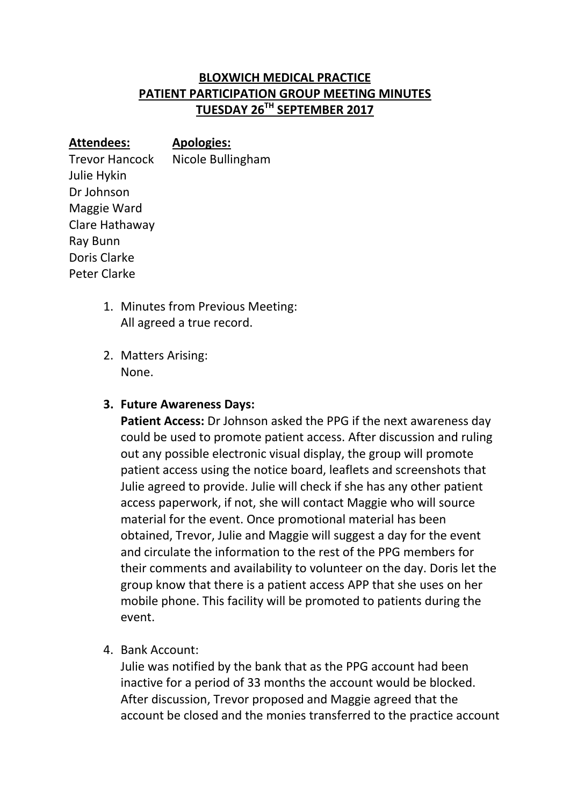## **BLOXWICH MEDICAL PRACTICE PATIENT PARTICIPATION GROUP MEETING MINUTES TUESDAY 26TH SEPTEMBER 2017**

**Attendees: Apologies:** Trevor Hancock Nicole Bullingham Julie Hykin Dr Johnson Maggie Ward Clare Hathaway Ray Bunn Doris Clarke Peter Clarke

- 1. Minutes from Previous Meeting: All agreed a true record.
- 2. Matters Arising: None.

## **3. Future Awareness Days:**

**Patient Access:** Dr Johnson asked the PPG if the next awareness day could be used to promote patient access. After discussion and ruling out any possible electronic visual display, the group will promote patient access using the notice board, leaflets and screenshots that Julie agreed to provide. Julie will check if she has any other patient access paperwork, if not, she will contact Maggie who will source material for the event. Once promotional material has been obtained, Trevor, Julie and Maggie will suggest a day for the event and circulate the information to the rest of the PPG members for their comments and availability to volunteer on the day. Doris let the group know that there is a patient access APP that she uses on her mobile phone. This facility will be promoted to patients during the event.

4. Bank Account:

Julie was notified by the bank that as the PPG account had been inactive for a period of 33 months the account would be blocked. After discussion, Trevor proposed and Maggie agreed that the account be closed and the monies transferred to the practice account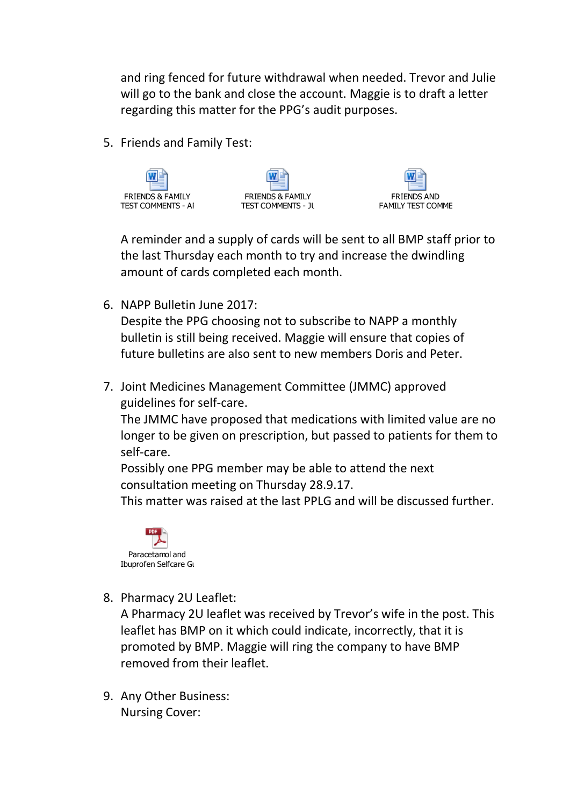and ring fenced for future withdrawal when needed. Trevor and Julie will go to the bank and close the account. Maggie is to draft a letter regarding this matter for the PPG's audit purposes.

5. Friends and Family Test:







A reminder and a supply of cards will be sent to all BMP staff prior to the last Thursday each month to try and increase the dwindling amount of cards completed each month.

6. NAPP Bulletin June 2017:

Despite the PPG choosing not to subscribe to NAPP a monthly bulletin is still being received. Maggie will ensure that copies of future bulletins are also sent to new members Doris and Peter.

7. Joint Medicines Management Committee (JMMC) approved guidelines for self-care.

The JMMC have proposed that medications with limited value are no longer to be given on prescription, but passed to patients for them to self-care.

Possibly one PPG member may be able to attend the next consultation meeting on Thursday 28.9.17.

This matter was raised at the last PPLG and will be discussed further.



8. Pharmacy 2U Leaflet:

A Pharmacy 2U leaflet was received by Trevor's wife in the post. This leaflet has BMP on it which could indicate, incorrectly, that it is promoted by BMP. Maggie will ring the company to have BMP removed from their leaflet.

9. Any Other Business: Nursing Cover: